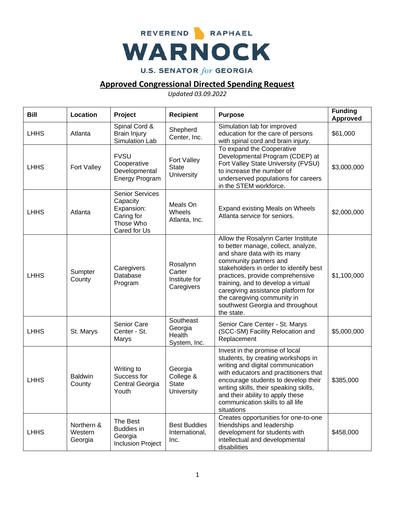

## **Approved Congressional Directed Spending Request**

*Updated 03.09.2022*

| <b>Bill</b> | Location                         | Project                                                                                     | <b>Recipient</b>                                          | <b>Purpose</b>                                                                                                                                                                                                                                                                                                                                                                  | <b>Funding</b><br><b>Approved</b> |
|-------------|----------------------------------|---------------------------------------------------------------------------------------------|-----------------------------------------------------------|---------------------------------------------------------------------------------------------------------------------------------------------------------------------------------------------------------------------------------------------------------------------------------------------------------------------------------------------------------------------------------|-----------------------------------|
| <b>LHHS</b> | Atlanta                          | Spinal Cord &<br><b>Brain Injury</b><br>Simulation Lab                                      | Shepherd<br>Center, Inc.                                  | Simulation lab for improved<br>education for the care of persons<br>with spinal cord and brain injury.                                                                                                                                                                                                                                                                          | \$61,000                          |
| <b>LHHS</b> | Fort Valley                      | <b>FVSU</b><br>Cooperative<br>Developmental<br><b>Energy Program</b>                        | Fort Valley<br><b>State</b><br>University                 | To expand the Cooperative<br>Developmental Program (CDEP) at<br>Fort Valley State University (FVSU)<br>to increase the number of<br>underserved populations for careers<br>in the STEM workforce.                                                                                                                                                                               | \$3,000,000                       |
| <b>LHHS</b> | Atlanta                          | <b>Senior Services</b><br>Capacity<br>Expansion:<br>Caring for<br>Those Who<br>Cared for Us | Meals On<br>Wheels<br>Atlanta, Inc.                       | Expand existing Meals on Wheels<br>Atlanta service for seniors.                                                                                                                                                                                                                                                                                                                 | \$2,000,000                       |
| <b>LHHS</b> | Sumpter<br>County                | Caregivers<br>Database<br>Program                                                           | Rosalynn<br>Carter<br>Institute for<br>Caregivers         | Allow the Rosalynn Carter Institute<br>to better manage, collect, analyze,<br>and share data with its many<br>community partners and<br>stakeholders in order to identify best<br>practices, provide comprehensive<br>training, and to develop a virtual<br>caregiving assistance platform for<br>the caregiving community in<br>southwest Georgia and throughout<br>the state. | \$1,100,000                       |
| <b>LHHS</b> | St. Marys                        | Senior Care<br>Center - St.<br>Marys                                                        | Southeast<br>Georgia<br>Health<br>System, Inc.            | Senior Care Center - St. Marys<br>(SCC-SM) Facility Relocation and<br>Replacement                                                                                                                                                                                                                                                                                               | \$5,000,000                       |
| <b>LHHS</b> | <b>Baldwin</b><br>County         | Writing to<br>Success for<br>Central Georgia<br>Youth                                       | Georgia<br>College &<br><b>State</b><br><b>University</b> | Invest in the promise of local<br>students, by creating workshops in<br>writing and digital communication<br>with educators and practitioners that<br>encourage students to develop their<br>writing skills, their speaking skills,<br>and their ability to apply these<br>communication skills to all life<br>situations                                                       | \$385,000                         |
| <b>LHHS</b> | Northern &<br>Western<br>Georgia | The Best<br><b>Buddies in</b><br>Georgia<br><b>Inclusion Project</b>                        | <b>Best Buddies</b><br>International,<br>Inc.             | Creates opportunities for one-to-one<br>friendships and leadership<br>development for students with<br>intellectual and developmental<br>disabilities                                                                                                                                                                                                                           | \$458,000                         |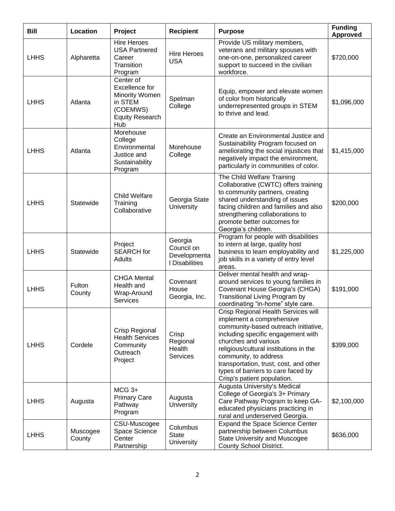| <b>Bill</b> | Location           | Project                                                                                                      | <b>Recipient</b>                                        | <b>Purpose</b>                                                                                                                                                                                                                                                                                                                                           | <b>Funding</b><br>Approved |
|-------------|--------------------|--------------------------------------------------------------------------------------------------------------|---------------------------------------------------------|----------------------------------------------------------------------------------------------------------------------------------------------------------------------------------------------------------------------------------------------------------------------------------------------------------------------------------------------------------|----------------------------|
| <b>LHHS</b> | Alpharetta         | <b>Hire Heroes</b><br><b>USA Partnered</b><br>Career<br>Transition<br>Program                                | <b>Hire Heroes</b><br><b>USA</b>                        | Provide US military members,<br>veterans and military spouses with<br>one-on-one, personalized career<br>support to succeed in the civilian<br>workforce.                                                                                                                                                                                                | \$720,000                  |
| <b>LHHS</b> | Atlanta            | Center of<br>Excellence for<br><b>Minority Women</b><br>in STEM<br>(COEMWS)<br><b>Equity Research</b><br>Hub | Spelman<br>College                                      | Equip, empower and elevate women<br>of color from historically<br>underrepresented groups in STEM<br>to thrive and lead.                                                                                                                                                                                                                                 | \$1,096,000                |
| <b>LHHS</b> | Atlanta            | Morehouse<br>College<br>Environmental<br>Justice and<br>Sustainability<br>Program                            | Morehouse<br>College                                    | Create an Environmental Justice and<br>Sustainability Program focused on<br>ameliorating the social injustices that<br>negatively impact the environment,<br>particularly in communities of color.                                                                                                                                                       | \$1,415,000                |
| <b>LHHS</b> | Statewide          | <b>Child Welfare</b><br>Training<br>Collaborative                                                            | Georgia State<br>University                             | The Child Welfare Training<br>Collaborative (CWTC) offers training<br>to community partners, creating<br>shared understanding of issues<br>facing children and families and also<br>strengthening collaborations to<br>promote better outcomes for<br>Georgia's children.                                                                                | \$200,000                  |
| <b>LHHS</b> | Statewide          | Project<br><b>SEARCH</b> for<br>Adults                                                                       | Georgia<br>Council on<br>Developmenta<br>I Disabilities | Program for people with disabilities<br>to intern at large, quality host<br>business to learn employability and<br>job skills in a variety of entry level<br>areas.                                                                                                                                                                                      | \$1,225,000                |
| <b>LHHS</b> | Fulton<br>County   | <b>CHGA Mental</b><br>Health and<br>Wrap-Around<br><b>Services</b>                                           | Covenant<br>House<br>Georgia, Inc.                      | Deliver mental health and wrap-<br>around services to young families in<br>Covenant House Georgia's (CHGA)<br>Transitional Living Program by<br>coordinating "in-home" style care.                                                                                                                                                                       | \$191,000                  |
| <b>LHHS</b> | Cordele            | Crisp Regional<br><b>Health Services</b><br>Community<br>Outreach<br>Project                                 | Crisp<br>Regional<br>Health<br><b>Services</b>          | Crisp Regional Health Services will<br>implement a comprehensive<br>community-based outreach initiative,<br>including specific engagement with<br>churches and various<br>religious/cultural institutions in the<br>community, to address<br>transportation, trust, cost, and other<br>types of barriers to care faced by<br>Crisp's patient population. | \$399,000                  |
| <b>LHHS</b> | Augusta            | $MCG 3+$<br><b>Primary Care</b><br>Pathway<br>Program                                                        | Augusta<br><b>University</b>                            | Augusta University's Medical<br>College of Georgia's 3+ Primary<br>Care Pathway Program to keep GA-<br>educated physicians practicing in<br>rural and underserved Georgia.                                                                                                                                                                               | \$2,100,000                |
| <b>LHHS</b> | Muscogee<br>County | CSU-Muscogee<br>Space Science<br>Center<br>Partnership                                                       | Columbus<br>State<br><b>University</b>                  | Expand the Space Science Center<br>partnership between Columbus<br>State University and Muscogee<br>County School District.                                                                                                                                                                                                                              | \$636,000                  |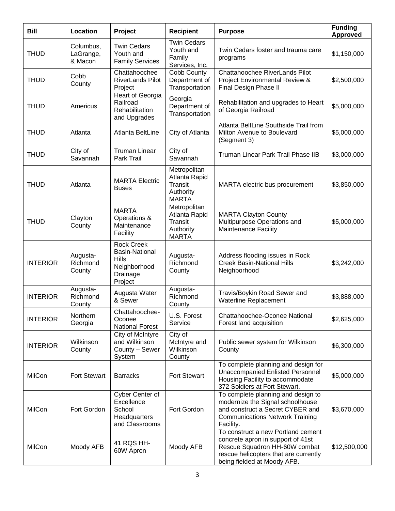| <b>Bill</b>     | Location                          | Project                                                                                           | <b>Recipient</b>                                                      | <b>Purpose</b>                                                                                                                                                                   | <b>Funding</b><br><b>Approved</b> |
|-----------------|-----------------------------------|---------------------------------------------------------------------------------------------------|-----------------------------------------------------------------------|----------------------------------------------------------------------------------------------------------------------------------------------------------------------------------|-----------------------------------|
| <b>THUD</b>     | Columbus,<br>LaGrange,<br>& Macon | <b>Twin Cedars</b><br>Youth and<br><b>Family Services</b>                                         | <b>Twin Cedars</b><br>Youth and<br>Family<br>Services, Inc.           | Twin Cedars foster and trauma care<br>programs                                                                                                                                   | \$1,150,000                       |
| <b>THUD</b>     | Cobb<br>County                    | Chattahoochee<br><b>RiverLands Pilot</b><br>Project                                               | Cobb County<br>Department of<br>Transportation                        | Chattahoochee RiverLands Pilot<br>Project Environmental Review &<br>Final Design Phase II                                                                                        | \$2,500,000                       |
| <b>THUD</b>     | Americus                          | Heart of Georgia<br>Railroad<br>Rehabilitation<br>and Upgrades                                    | Georgia<br>Department of<br>Transportation                            | Rehabilitation and upgrades to Heart<br>of Georgia Railroad                                                                                                                      | \$5,000,000                       |
| <b>THUD</b>     | Atlanta                           | Atlanta BeltLine                                                                                  | City of Atlanta                                                       | Atlanta BeltLine Southside Trail from<br>Milton Avenue to Boulevard<br>(Segment 3)                                                                                               | \$5,000,000                       |
| <b>THUD</b>     | City of<br>Savannah               | <b>Truman Linear</b><br>Park Trail                                                                | City of<br>Savannah                                                   | Truman Linear Park Trail Phase IIB                                                                                                                                               | \$3,000,000                       |
| <b>THUD</b>     | Atlanta                           | <b>MARTA Electric</b><br><b>Buses</b>                                                             | Metropolitan<br>Atlanta Rapid<br>Transit<br>Authority<br><b>MARTA</b> | MARTA electric bus procurement                                                                                                                                                   | \$3,850,000                       |
| <b>THUD</b>     | Clayton<br>County                 | <b>MARTA</b><br>Operations &<br>Maintenance<br>Facility                                           | Metropolitan<br>Atlanta Rapid<br>Transit<br>Authority<br><b>MARTA</b> | <b>MARTA Clayton County</b><br>Multipurpose Operations and<br><b>Maintenance Facility</b>                                                                                        | \$5,000,000                       |
| <b>INTERIOR</b> | Augusta-<br>Richmond<br>County    | <b>Rock Creek</b><br><b>Basin-National</b><br><b>Hills</b><br>Neighborhood<br>Drainage<br>Project | Augusta-<br>Richmond<br>County                                        | Address flooding issues in Rock<br><b>Creek Basin-National Hills</b><br>Neighborhood                                                                                             | \$3,242,000                       |
| <b>INTERIOR</b> | Augusta-<br>Richmond<br>County    | Augusta Water<br>& Sewer                                                                          | Augusta-<br>Richmond<br>County                                        | Travis/Boykin Road Sewer and<br>Waterline Replacement                                                                                                                            | \$3,888,000                       |
| <b>INTERIOR</b> | Northern<br>Georgia               | Chattahoochee-<br>Oconee<br><b>National Forest</b>                                                | U.S. Forest<br>Service                                                | Chattahoochee-Oconee National<br>Forest land acquisition                                                                                                                         | \$2,625,000                       |
| <b>INTERIOR</b> | Wilkinson<br>County               | City of McIntyre<br>and Wilkinson<br>County - Sewer<br>System                                     | City of<br>McIntyre and<br>Wilkinson<br>County                        | Public sewer system for Wilkinson<br>County                                                                                                                                      | \$6,300,000                       |
| MilCon          | Fort Stewart                      | <b>Barracks</b>                                                                                   | <b>Fort Stewart</b>                                                   | To complete planning and design for<br><b>Unaccompanied Enlisted Personnel</b><br>Housing Facility to accommodate<br>372 Soldiers at Fort Stewart.                               | \$5,000,000                       |
| MilCon          | Fort Gordon                       | Cyber Center of<br>Excellence<br>School<br>Headquarters<br>and Classrooms                         | Fort Gordon                                                           | To complete planning and design to<br>modernize the Signal schoolhouse<br>and construct a Secret CYBER and<br><b>Communications Network Training</b><br>Facility.                | \$3,670,000                       |
| MilCon          | Moody AFB                         | 41 RQS HH-<br>60W Apron                                                                           | Moody AFB                                                             | To construct a new Portland cement<br>concrete apron in support of 41st<br>Rescue Squadron HH-60W combat<br>rescue helicopters that are currently<br>being fielded at Moody AFB. | \$12,500,000                      |